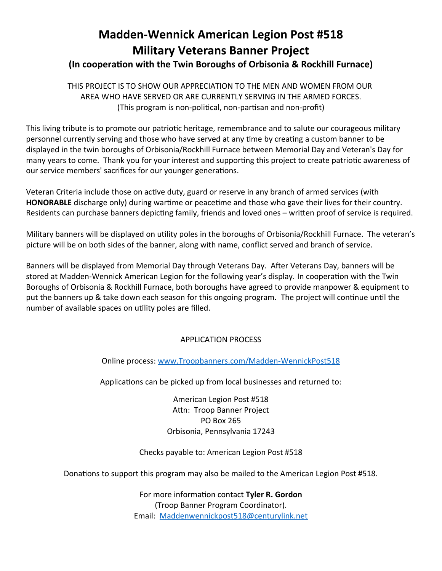# **Madden-Wennick American Legion Post #518 Military Veterans Banner Project**

# **(In cooperation with the Twin Boroughs of Orbisonia & Rockhill Furnace)**

THIS PROJECT IS TO SHOW OUR APPRECIATION TO THE MEN AND WOMEN FROM OUR AREA WHO HAVE SERVED OR ARE CURRENTLY SERVING IN THE ARMED FORCES. (This program is non-political, non-partisan and non-profit)

This living tribute is to promote our patriotic heritage, remembrance and to salute our courageous military personnel currently serving and those who have served at any time by creating a custom banner to be displayed in the twin boroughs of Orbisonia/Rockhill Furnace between Memorial Day and Veteran's Day for many years to come. Thank you for your interest and supporting this project to create patriotic awareness of our service members' sacrifices for our younger generations.

Veteran Criteria include those on active duty, guard or reserve in any branch of armed services (with **HONORABLE** discharge only) during wartime or peacetime and those who gave their lives for their country. Residents can purchase banners depicting family, friends and loved ones – written proof of service is required.

Military banners will be displayed on utility poles in the boroughs of Orbisonia/Rockhill Furnace. The veteran's picture will be on both sides of the banner, along with name, conflict served and branch of service.

Banners will be displayed from Memorial Day through Veterans Day. After Veterans Day, banners will be stored at Madden-Wennick American Legion for the following year's display. In cooperation with the Twin Boroughs of Orbisonia & Rockhill Furnace, both boroughs have agreed to provide manpower & equipment to put the banners up & take down each season for this ongoing program. The project will continue until the number of available spaces on utility poles are filled.

# APPLICATION PROCESS

Online process: www.Troopbanners.com/Madden-WennickPost518

Applications can be picked up from local businesses and returned to:

American Legion Post #518 Attn: Troop Banner Project PO Box 265 Orbisonia, Pennsylvania 17243

## Checks payable to: American Legion Post #518

Donations to support this program may also be mailed to the American Legion Post #518.

For more information contact Tyler R. Gordon (Troop Banner Program Coordinator). Email: Maddenwennickpost518@centurylink.net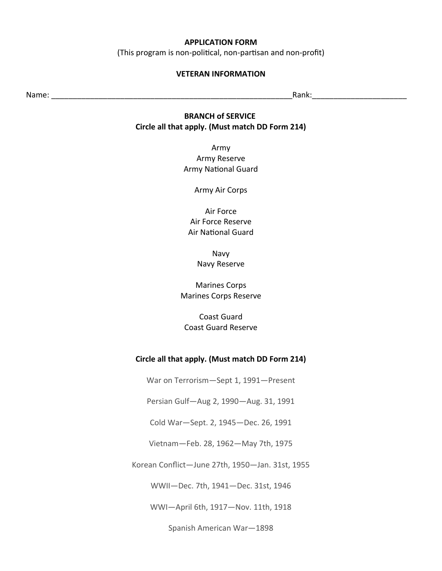#### **APPLICATION FORM**

(This program is non-political, non-partisan and non-profit)

#### **VETERAN INFORMATION**

Name: where  $\blacksquare$  and  $\blacksquare$  and  $\blacksquare$  and  $\blacksquare$  and  $\blacksquare$  and  $\blacksquare$  and  $\blacksquare$  and  $\blacksquare$  and  $\blacksquare$  and  $\blacksquare$  and  $\blacksquare$  and  $\blacksquare$  and  $\blacksquare$  and  $\blacksquare$  and  $\blacksquare$  and  $\blacksquare$  and  $\blacksquare$  and  $\blacksquare$  and  $\blacksquare$  and

## **BRANCH of SERVICE Circle all that apply. (Must match DD Form 214)**

Army Army Reserve Army National Guard

Army Air Corps

Air Force Air Force Reserve Air National Guard

> Navy Navy Reserve

Marines Corps Marines Corps Reserve

**Coast Guard** Coast Guard Reserve

#### **Circle all that apply. (Must match DD Form 214)**

War on Terrorism-Sept 1, 1991-Present

Persian Gulf-Aug 2, 1990-Aug. 31, 1991

Cold War-Sept. 2, 1945-Dec. 26, 1991

Vietnam-Feb. 28, 1962-May 7th, 1975

Korean Conflict-June 27th, 1950-Jan. 31st, 1955

WWII-Dec. 7th, 1941-Dec. 31st, 1946

WWI-April 6th, 1917-Nov. 11th, 1918

Spanish American War-1898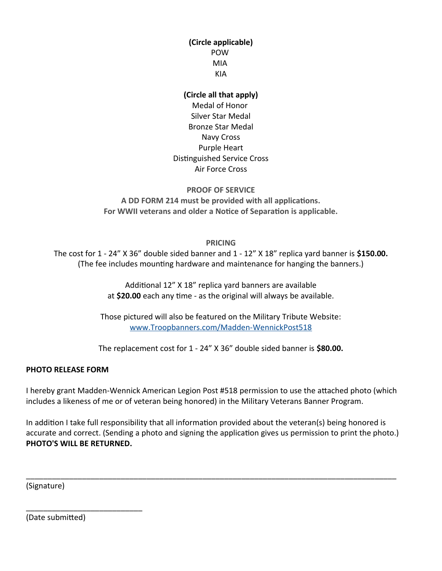# **(Circle applicable)** POW MIA KIA

## **(Circle all that apply)**

Medal of Honor Silver Star Medal Bronze Star Medal Navy Cross Purple Heari Distinguished Service Cross Air Force Cross

## **PROOF OF SERVICE A DD FORM 214 must be provided with all applications.**

**For WWII veterans and older a Notice of Separation is applicable.**

**PRICING**

The cost for 1 - 24" X 36" double sided banner and 1 - 12" X 18" replica yard banner is \$150.00. (The fee includes mounting hardware and maintenance for hanging the banners.)

> Additional 12" X 18" replica yard banners are available at \$20.00 each any time - as the original will always be available.

Those pictured will also be featured on the Military Tribute Website: www. Troopbanners.com/Madden-WennickPost518

The replacement cost for 1 - 24" X 36" double sided banner is \$80.00.

# **PHOTO RELEASE FORM**

I hereby grant Madden-Wennick American Legion Post #518 permission to use the attached photo (which includes a likeness of me or of veteran being honored) in the Military Veterans Banner Program.

In addition I take full responsibility that all information provided about the veteran(s) being honored is accurate and correct. (Sending a photo and signing the application gives us permission to print the photo.) **PHOTO'S WILL BE RETURNED.**

\_\_\_\_\_\_\_\_\_\_\_\_\_\_\_\_\_\_\_\_\_\_\_\_\_\_\_\_\_\_\_\_\_\_\_\_\_\_\_\_\_\_\_\_\_\_\_\_\_\_\_\_\_\_\_\_\_\_\_\_\_\_\_\_\_\_\_\_\_\_\_\_\_\_\_\_\_\_\_\_\_\_\_\_\_\_

(Signature)

(Date submitted)

\_\_\_\_\_\_\_\_\_\_\_\_\_\_\_\_\_\_\_\_\_\_\_\_\_\_\_